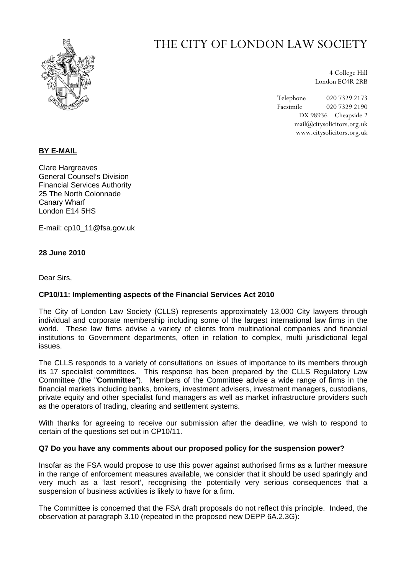

# THE CITY OF LONDON LAW SOCIETY

4 College Hill London EC4R 2RB

Telephone 020 7329 2173 Facsimile 020 7329 2190 DX 98936 – Cheapside 2 mail@citysolicitors.org.uk www.citysolicitors.org.uk

## **BY E-MAIL**

Clare Hargreaves General Counsel's Division Financial Services Authority 25 The North Colonnade Canary Wharf London E14 5HS

E-mail: cp10\_11@fsa.gov.uk

### **28 June 2010**

Dear Sirs,

### **CP10/11: Implementing aspects of the Financial Services Act 2010**

The City of London Law Society (CLLS) represents approximately 13,000 City lawyers through individual and corporate membership including some of the largest international law firms in the world. These law firms advise a variety of clients from multinational companies and financial institutions to Government departments, often in relation to complex, multi jurisdictional legal issues.

The CLLS responds to a variety of consultations on issues of importance to its members through its 17 specialist committees. This response has been prepared by the CLLS Regulatory Law Committee (the "**Committee**"). Members of the Committee advise a wide range of firms in the financial markets including banks, brokers, investment advisers, investment managers, custodians, private equity and other specialist fund managers as well as market infrastructure providers such as the operators of trading, clearing and settlement systems.

With thanks for agreeing to receive our submission after the deadline, we wish to respond to certain of the questions set out in CP10/11.

### **Q7 Do you have any comments about our proposed policy for the suspension power?**

Insofar as the FSA would propose to use this power against authorised firms as a further measure in the range of enforcement measures available, we consider that it should be used sparingly and very much as a 'last resort', recognising the potentially very serious consequences that a suspension of business activities is likely to have for a firm.

The Committee is concerned that the FSA draft proposals do not reflect this principle. Indeed, the observation at paragraph 3.10 (repeated in the proposed new DEPP 6A.2.3G):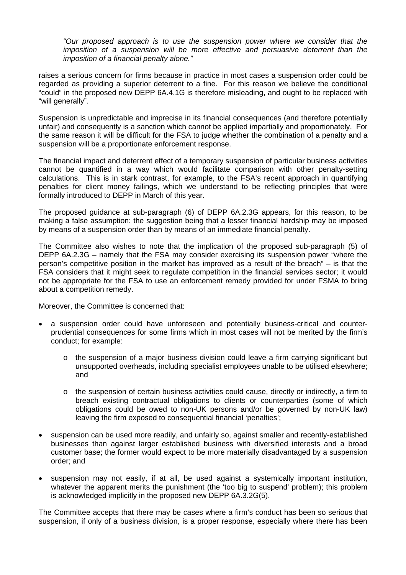*"Our proposed approach is to use the suspension power where we consider that the imposition of a suspension will be more effective and persuasive deterrent than the imposition of a financial penalty alone."* 

raises a serious concern for firms because in practice in most cases a suspension order could be regarded as providing a superior deterrent to a fine. For this reason we believe the conditional "could" in the proposed new DEPP 6A.4.1G is therefore misleading, and ought to be replaced with "will generally".

Suspension is unpredictable and imprecise in its financial consequences (and therefore potentially unfair) and consequently is a sanction which cannot be applied impartially and proportionately. For the same reason it will be difficult for the FSA to judge whether the combination of a penalty and a suspension will be a proportionate enforcement response.

The financial impact and deterrent effect of a temporary suspension of particular business activities cannot be quantified in a way which would facilitate comparison with other penalty-setting calculations. This is in stark contrast, for example, to the FSA's recent approach in quantifying penalties for client money failings, which we understand to be reflecting principles that were formally introduced to DEPP in March of this year.

The proposed guidance at sub-paragraph (6) of DEPP 6A.2.3G appears, for this reason, to be making a false assumption: the suggestion being that a lesser financial hardship may be imposed by means of a suspension order than by means of an immediate financial penalty.

The Committee also wishes to note that the implication of the proposed sub-paragraph (5) of DEPP 6A.2.3G – namely that the FSA may consider exercising its suspension power "where the person's competitive position in the market has improved as a result of the breach" – is that the FSA considers that it might seek to regulate competition in the financial services sector; it would not be appropriate for the FSA to use an enforcement remedy provided for under FSMA to bring about a competition remedy.

Moreover, the Committee is concerned that:

- a suspension order could have unforeseen and potentially business-critical and counterprudential consequences for some firms which in most cases will not be merited by the firm's conduct; for example:
	- o the suspension of a major business division could leave a firm carrying significant but unsupported overheads, including specialist employees unable to be utilised elsewhere; and
	- o the suspension of certain business activities could cause, directly or indirectly, a firm to breach existing contractual obligations to clients or counterparties (some of which obligations could be owed to non-UK persons and/or be governed by non-UK law) leaving the firm exposed to consequential financial 'penalties';
- suspension can be used more readily, and unfairly so, against smaller and recently-established businesses than against larger established business with diversified interests and a broad customer base; the former would expect to be more materially disadvantaged by a suspension order; and
- suspension may not easily, if at all, be used against a systemically important institution, whatever the apparent merits the punishment (the 'too big to suspend' problem); this problem is acknowledged implicitly in the proposed new DEPP 6A.3.2G(5).

The Committee accepts that there may be cases where a firm's conduct has been so serious that suspension, if only of a business division, is a proper response, especially where there has been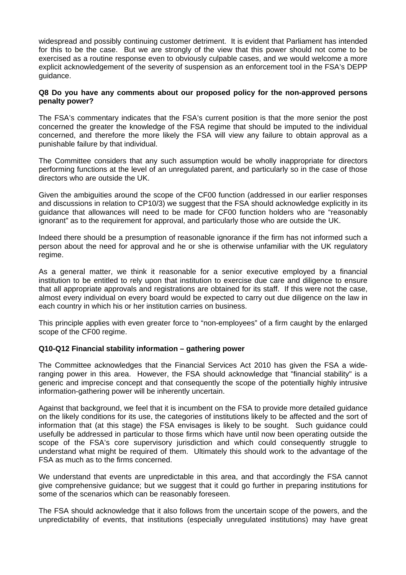widespread and possibly continuing customer detriment. It is evident that Parliament has intended for this to be the case. But we are strongly of the view that this power should not come to be exercised as a routine response even to obviously culpable cases, and we would welcome a more explicit acknowledgement of the severity of suspension as an enforcement tool in the FSA's DEPP guidance.

#### **Q8 Do you have any comments about our proposed policy for the non-approved persons penalty power?**

The FSA's commentary indicates that the FSA's current position is that the more senior the post concerned the greater the knowledge of the FSA regime that should be imputed to the individual concerned, and therefore the more likely the FSA will view any failure to obtain approval as a punishable failure by that individual.

The Committee considers that any such assumption would be wholly inappropriate for directors performing functions at the level of an unregulated parent, and particularly so in the case of those directors who are outside the UK.

Given the ambiguities around the scope of the CF00 function (addressed in our earlier responses and discussions in relation to CP10/3) we suggest that the FSA should acknowledge explicitly in its guidance that allowances will need to be made for CF00 function holders who are "reasonably ignorant" as to the requirement for approval, and particularly those who are outside the UK.

Indeed there should be a presumption of reasonable ignorance if the firm has not informed such a person about the need for approval and he or she is otherwise unfamiliar with the UK regulatory regime.

As a general matter, we think it reasonable for a senior executive employed by a financial institution to be entitled to rely upon that institution to exercise due care and diligence to ensure that all appropriate approvals and registrations are obtained for its staff. If this were not the case, almost every individual on every board would be expected to carry out due diligence on the law in each country in which his or her institution carries on business.

This principle applies with even greater force to "non-employees" of a firm caught by the enlarged scope of the CF00 regime.

### **Q10-Q12 Financial stability information – gathering power**

The Committee acknowledges that the Financial Services Act 2010 has given the FSA a wideranging power in this area. However, the FSA should acknowledge that "financial stability" is a generic and imprecise concept and that consequently the scope of the potentially highly intrusive information-gathering power will be inherently uncertain.

Against that background, we feel that it is incumbent on the FSA to provide more detailed guidance on the likely conditions for its use, the categories of institutions likely to be affected and the sort of information that (at this stage) the FSA envisages is likely to be sought. Such guidance could usefully be addressed in particular to those firms which have until now been operating outside the scope of the FSA's core supervisory jurisdiction and which could consequently struggle to understand what might be required of them. Ultimately this should work to the advantage of the FSA as much as to the firms concerned.

We understand that events are unpredictable in this area, and that accordingly the FSA cannot give comprehensive guidance; but we suggest that it could go further in preparing institutions for some of the scenarios which can be reasonably foreseen.

The FSA should acknowledge that it also follows from the uncertain scope of the powers, and the unpredictability of events, that institutions (especially unregulated institutions) may have great